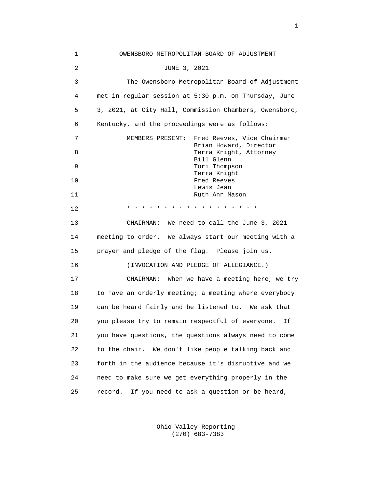| 1              | OWENSBORO METROPOLITAN BOARD OF ADJUSTMENT             |
|----------------|--------------------------------------------------------|
| $\overline{c}$ | JUNE 3, 2021                                           |
| 3              | The Owensboro Metropolitan Board of Adjustment         |
| 4              | met in regular session at 5:30 p.m. on Thursday, June  |
| 5              | 3, 2021, at City Hall, Commission Chambers, Owensboro, |
| 6              | Kentucky, and the proceedings were as follows:         |
| 7              | MEMBERS PRESENT:<br>Fred Reeves, Vice Chairman         |
| 8              | Brian Howard, Director<br>Terra Knight, Attorney       |
| 9              | Bill Glenn<br>Tori Thompson                            |
| 10             | Terra Knight<br>Fred Reeves                            |
| 11             | Lewis Jean<br>Ruth Ann Mason                           |
| 12             | * * * * * * * * * * * * *                              |
| 13             | CHAIRMAN: We need to call the June 3, 2021             |
| 14             | meeting to order. We always start our meeting with a   |
| 15             | prayer and pledge of the flag. Please join us.         |
| 16             | (INVOCATION AND PLEDGE OF ALLEGIANCE.)                 |
| 17             | CHAIRMAN: When we have a meeting here, we try          |
| 18             | to have an orderly meeting; a meeting where everybody  |
| 19             | can be heard fairly and be listened to. We ask that    |
| 20             | you please try to remain respectful of everyone.<br>Ιf |
| 21             | you have questions, the questions always need to come  |
| 22             | We don't like people talking back and<br>to the chair. |
| 23             | forth in the audience because it's disruptive and we   |
| 24             | need to make sure we get everything properly in the    |
| 25             | record.<br>If you need to ask a question or be heard,  |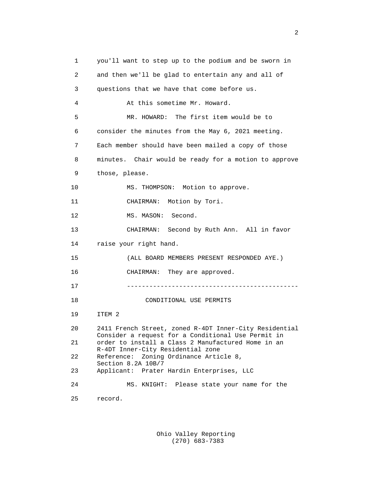1 you'll want to step up to the podium and be sworn in 2 and then we'll be glad to entertain any and all of 3 questions that we have that come before us. 4 At this sometime Mr. Howard. 5 MR. HOWARD: The first item would be to 6 consider the minutes from the May 6, 2021 meeting. 7 Each member should have been mailed a copy of those 8 minutes. Chair would be ready for a motion to approve 9 those, please. 10 MS. THOMPSON: Motion to approve. 11 CHAIRMAN: Motion by Tori. 12 MS. MASON: Second. 13 CHAIRMAN: Second by Ruth Ann. All in favor 14 raise your right hand. 15 (ALL BOARD MEMBERS PRESENT RESPONDED AYE.) 16 CHAIRMAN: They are approved. 17 ---------------------------------------------- 18 CONDITIONAL USE PERMITS 19 ITEM 2 20 2411 French Street, zoned R-4DT Inner-City Residential Consider a request for a Conditional Use Permit in<br>21 order to install a Class 2 Manufactured Home in an order to install a Class 2 Manufactured Home in an R-4DT Inner-City Residential zone 22 Reference: Zoning Ordinance Article 8, Section 8.2A 10B/7<br>23 Applicant: Prater 23 Applicant: Prater Hardin Enterprises, LLC 24 MS. KNIGHT: Please state your name for the 25 record.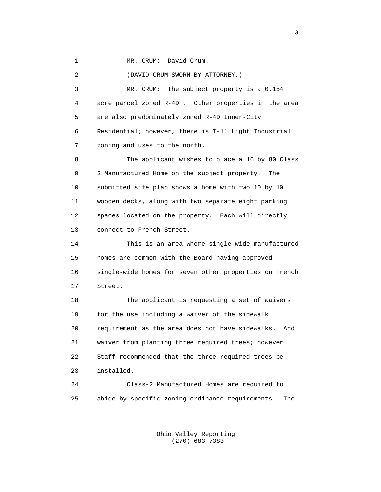1 MR. CRUM: David Crum.

 2 (DAVID CRUM SWORN BY ATTORNEY.) 3 MR. CRUM: The subject property is a 0.154 4 acre parcel zoned R-4DT. Other properties in the area 5 are also predominately zoned R-4D Inner-City 6 Residential; however, there is I-11 Light Industrial 7 zoning and uses to the north. 8 The applicant wishes to place a 16 by 80 Class 9 2 Manufactured Home on the subject property. The 10 submitted site plan shows a home with two 10 by 10 11 wooden decks, along with two separate eight parking 12 spaces located on the property. Each will directly 13 connect to French Street. 14 This is an area where single-wide manufactured 15 homes are common with the Board having approved 16 single-wide homes for seven other properties on French 17 Street. 18 The applicant is requesting a set of waivers 19 for the use including a waiver of the sidewalk 20 requirement as the area does not have sidewalks. And 21 waiver from planting three required trees; however 22 Staff recommended that the three required trees be 23 installed. 24 Class-2 Manufactured Homes are required to 25 abide by specific zoning ordinance requirements. The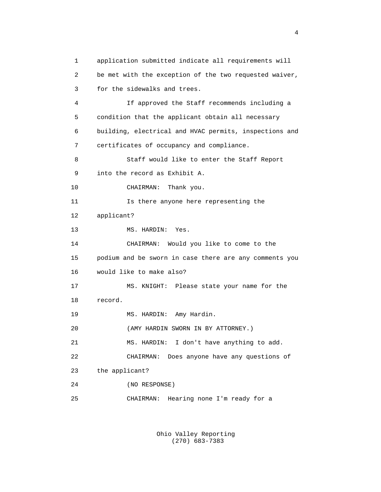1 application submitted indicate all requirements will 2 be met with the exception of the two requested waiver, 3 for the sidewalks and trees. 4 If approved the Staff recommends including a 5 condition that the applicant obtain all necessary 6 building, electrical and HVAC permits, inspections and 7 certificates of occupancy and compliance. 8 Staff would like to enter the Staff Report 9 into the record as Exhibit A. 10 CHAIRMAN: Thank you. 11 Is there anyone here representing the 12 applicant? 13 MS. HARDIN: Yes. 14 CHAIRMAN: Would you like to come to the 15 podium and be sworn in case there are any comments you 16 would like to make also? 17 MS. KNIGHT: Please state your name for the 18 record. 19 MS. HARDIN: Amy Hardin. 20 (AMY HARDIN SWORN IN BY ATTORNEY.) 21 MS. HARDIN: I don't have anything to add. 22 CHAIRMAN: Does anyone have any questions of 23 the applicant? 24 (NO RESPONSE) 25 CHAIRMAN: Hearing none I'm ready for a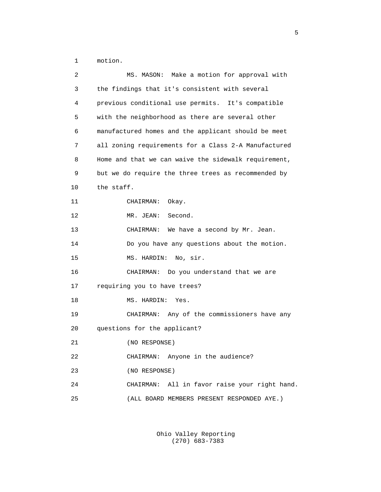1 motion.

| 2  | MS. MASON: Make a motion for approval with           |
|----|------------------------------------------------------|
| 3  | the findings that it's consistent with several       |
| 4  | previous conditional use permits. It's compatible    |
| 5  | with the neighborhood as there are several other     |
| 6  | manufactured homes and the applicant should be meet  |
| 7  | all zoning requirements for a Class 2-A Manufactured |
| 8  | Home and that we can waive the sidewalk requirement, |
| 9  | but we do require the three trees as recommended by  |
| 10 | the staff.                                           |
| 11 | CHAIRMAN: Okay.                                      |
| 12 | MR. JEAN:<br>Second.                                 |
| 13 | CHAIRMAN: We have a second by Mr. Jean.              |
| 14 | Do you have any questions about the motion.          |
| 15 | MS. HARDIN:<br>No, sir.                              |
| 16 | CHAIRMAN: Do you understand that we are              |
| 17 | requiring you to have trees?                         |
| 18 | MS. HARDIN:<br>Yes.                                  |
| 19 | CHAIRMAN: Any of the commissioners have any          |
| 20 | questions for the applicant?                         |
| 21 | (NO RESPONSE)                                        |
| 22 | CHAIRMAN: Anyone in the audience?                    |
| 23 | (NO RESPONSE)                                        |
| 24 | CHAIRMAN: All in favor raise your right hand.        |
| 25 | (ALL BOARD MEMBERS PRESENT RESPONDED AYE.)           |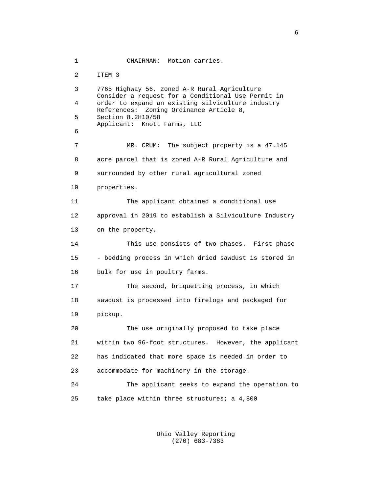1 CHAIRMAN: Motion carries. 2 ITEM 3 3 7765 Highway 56, zoned A-R Rural Agriculture Consider a request for a Conditional Use Permit in 4 order to expand an existing silviculture industry References: Zoning Ordinance Article 8,<br>5 Section 8.2H10/58 5 Section 8.2H10/58 Applicant: Knott Farms, LLC<br>6 6 7 MR. CRUM: The subject property is a 47.145 8 acre parcel that is zoned A-R Rural Agriculture and 9 surrounded by other rural agricultural zoned 10 properties. 11 The applicant obtained a conditional use 12 approval in 2019 to establish a Silviculture Industry 13 on the property. 14 This use consists of two phases. First phase 15 - bedding process in which dried sawdust is stored in 16 bulk for use in poultry farms. 17 The second, briquetting process, in which 18 sawdust is processed into firelogs and packaged for 19 pickup. 20 The use originally proposed to take place 21 within two 96-foot structures. However, the applicant 22 has indicated that more space is needed in order to 23 accommodate for machinery in the storage. 24 The applicant seeks to expand the operation to 25 take place within three structures; a 4,800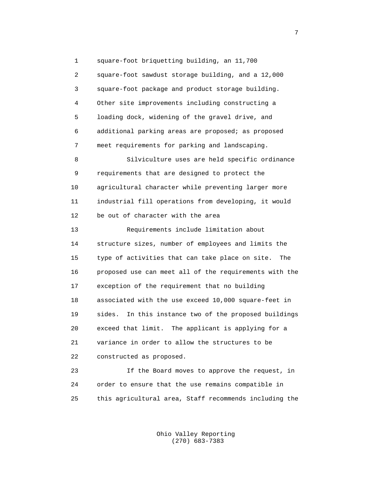1 square-foot briquetting building, an 11,700 2 square-foot sawdust storage building, and a 12,000 3 square-foot package and product storage building. 4 Other site improvements including constructing a 5 loading dock, widening of the gravel drive, and 6 additional parking areas are proposed; as proposed 7 meet requirements for parking and landscaping. 8 Silviculture uses are held specific ordinance 9 requirements that are designed to protect the 10 agricultural character while preventing larger more 11 industrial fill operations from developing, it would 12 be out of character with the area 13 Requirements include limitation about 14 structure sizes, number of employees and limits the 15 type of activities that can take place on site. The 16 proposed use can meet all of the requirements with the 17 exception of the requirement that no building 18 associated with the use exceed 10,000 square-feet in 19 sides. In this instance two of the proposed buildings 20 exceed that limit. The applicant is applying for a 21 variance in order to allow the structures to be 22 constructed as proposed. 23 If the Board moves to approve the request, in

 24 order to ensure that the use remains compatible in 25 this agricultural area, Staff recommends including the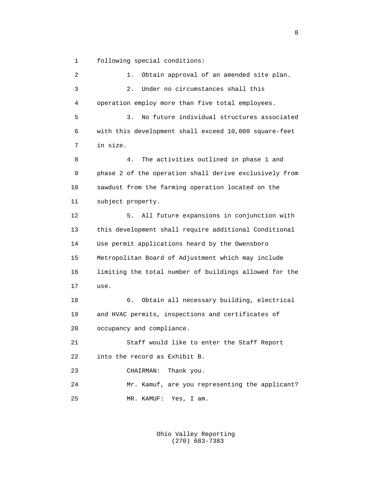1 following special conditions:

 2 1. Obtain approval of an amended site plan. 3 2. Under no circumstances shall this 4 operation employ more than five total employees. 5 3. No future individual structures associated 6 with this development shall exceed 10,000 square-feet 7 in size. 8 4. The activities outlined in phase 1 and 9 phase 2 of the operation shall derive exclusively from 10 sawdust from the farming operation located on the 11 subject property. 12 5. All future expansions in conjunction with 13 this development shall require additional Conditional 14 Use permit applications heard by the Owensboro 15 Metropolitan Board of Adjustment which may include 16 limiting the total number of buildings allowed for the 17 use. 18 6. Obtain all necessary building, electrical 19 and HVAC permits, inspections and certificates of 20 occupancy and compliance. 21 Staff would like to enter the Staff Report 22 into the record as Exhibit B. 23 CHAIRMAN: Thank you. 24 Mr. Kamuf, are you representing the applicant? 25 MR. KAMUF: Yes, I am.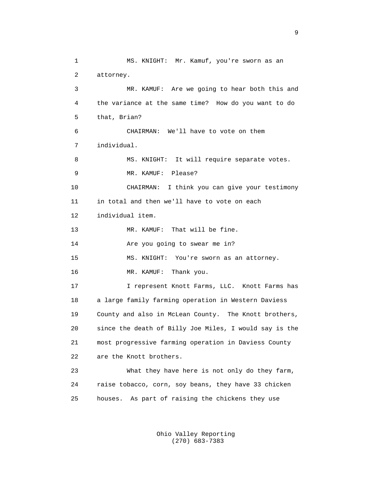1 MS. KNIGHT: Mr. Kamuf, you're sworn as an 2 attorney. 3 MR. KAMUF: Are we going to hear both this and 4 the variance at the same time? How do you want to do 5 that, Brian? 6 CHAIRMAN: We'll have to vote on them 7 individual. 8 MS. KNIGHT: It will require separate votes. 9 MR. KAMUF: Please? 10 CHAIRMAN: I think you can give your testimony 11 in total and then we'll have to vote on each 12 individual item. 13 MR. KAMUF: That will be fine. 14 Are you going to swear me in? 15 MS. KNIGHT: You're sworn as an attorney. 16 MR. KAMUF: Thank you. 17 I represent Knott Farms, LLC. Knott Farms has 18 a large family farming operation in Western Daviess 19 County and also in McLean County. The Knott brothers, 20 since the death of Billy Joe Miles, I would say is the 21 most progressive farming operation in Daviess County 22 are the Knott brothers. 23 What they have here is not only do they farm, 24 raise tobacco, corn, soy beans, they have 33 chicken 25 houses. As part of raising the chickens they use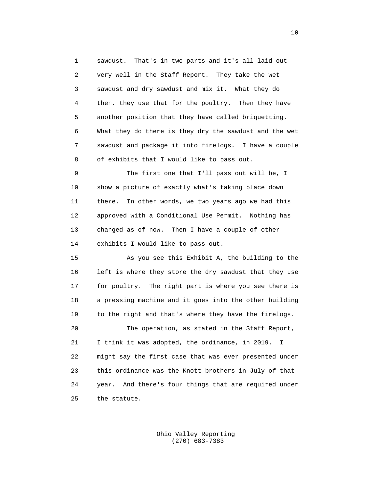1 sawdust. That's in two parts and it's all laid out 2 very well in the Staff Report. They take the wet 3 sawdust and dry sawdust and mix it. What they do 4 then, they use that for the poultry. Then they have 5 another position that they have called briquetting. 6 What they do there is they dry the sawdust and the wet 7 sawdust and package it into firelogs. I have a couple 8 of exhibits that I would like to pass out.

 9 The first one that I'll pass out will be, I 10 show a picture of exactly what's taking place down 11 there. In other words, we two years ago we had this 12 approved with a Conditional Use Permit. Nothing has 13 changed as of now. Then I have a couple of other 14 exhibits I would like to pass out.

 15 As you see this Exhibit A, the building to the 16 left is where they store the dry sawdust that they use 17 for poultry. The right part is where you see there is 18 a pressing machine and it goes into the other building 19 to the right and that's where they have the firelogs. 20 The operation, as stated in the Staff Report, 21 I think it was adopted, the ordinance, in 2019. I 22 might say the first case that was ever presented under 23 this ordinance was the Knott brothers in July of that 24 year. And there's four things that are required under 25 the statute.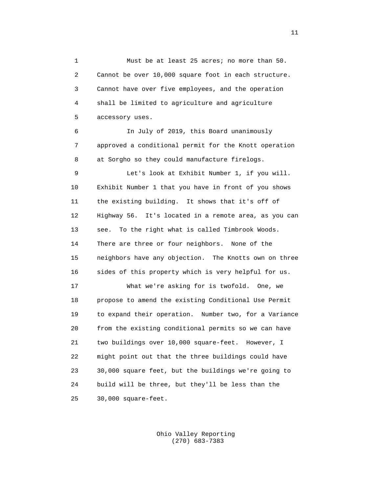1 Must be at least 25 acres; no more than 50. 2 Cannot be over 10,000 square foot in each structure. 3 Cannot have over five employees, and the operation 4 shall be limited to agriculture and agriculture 5 accessory uses.

 6 In July of 2019, this Board unanimously 7 approved a conditional permit for the Knott operation 8 at Sorgho so they could manufacture firelogs.

 9 Let's look at Exhibit Number 1, if you will. 10 Exhibit Number 1 that you have in front of you shows 11 the existing building. It shows that it's off of 12 Highway 56. It's located in a remote area, as you can 13 see. To the right what is called Timbrook Woods. 14 There are three or four neighbors. None of the 15 neighbors have any objection. The Knotts own on three 16 sides of this property which is very helpful for us. 17 What we're asking for is twofold. One, we 18 propose to amend the existing Conditional Use Permit

 19 to expand their operation. Number two, for a Variance 20 from the existing conditional permits so we can have 21 two buildings over 10,000 square-feet. However, I 22 might point out that the three buildings could have 23 30,000 square feet, but the buildings we're going to 24 build will be three, but they'll be less than the 25 30,000 square-feet.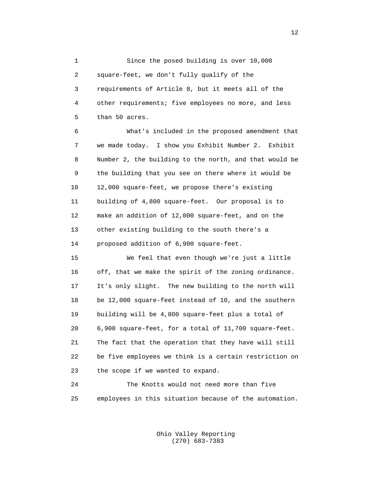1 Since the posed building is over 10,000 2 square-feet, we don't fully qualify of the 3 requirements of Article 8, but it meets all of the 4 other requirements; five employees no more, and less 5 than 50 acres.

 6 What's included in the proposed amendment that 7 we made today. I show you Exhibit Number 2. Exhibit 8 Number 2, the building to the north, and that would be 9 the building that you see on there where it would be 10 12,000 square-feet, we propose there's existing 11 building of 4,800 square-feet. Our proposal is to 12 make an addition of 12,000 square-feet, and on the 13 other existing building to the south there's a 14 proposed addition of 6,900 square-feet.

 15 We feel that even though we're just a little 16 off, that we make the spirit of the zoning ordinance. 17 It's only slight. The new building to the north will 18 be 12,000 square-feet instead of 10, and the southern 19 building will be 4,800 square-feet plus a total of 20 6,900 square-feet, for a total of 11,700 square-feet. 21 The fact that the operation that they have will still 22 be five employees we think is a certain restriction on 23 the scope if we wanted to expand.

 24 The Knotts would not need more than five 25 employees in this situation because of the automation.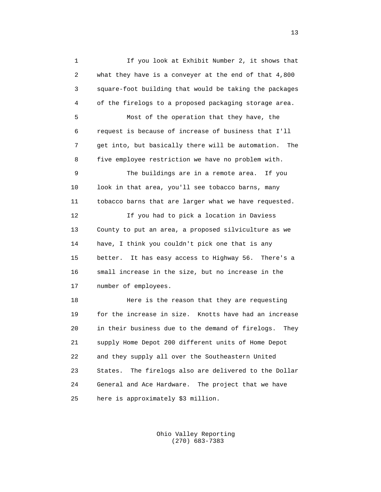1 If you look at Exhibit Number 2, it shows that 2 what they have is a conveyer at the end of that 4,800 3 square-foot building that would be taking the packages 4 of the firelogs to a proposed packaging storage area. 5 Most of the operation that they have, the 6 request is because of increase of business that I'll 7 get into, but basically there will be automation. The 8 five employee restriction we have no problem with. 9 The buildings are in a remote area. If you 10 look in that area, you'll see tobacco barns, many 11 tobacco barns that are larger what we have requested. 12 If you had to pick a location in Daviess 13 County to put an area, a proposed silviculture as we 14 have, I think you couldn't pick one that is any 15 better. It has easy access to Highway 56. There's a 16 small increase in the size, but no increase in the 17 number of employees. 18 Here is the reason that they are requesting 19 for the increase in size. Knotts have had an increase 20 in their business due to the demand of firelogs. They 21 supply Home Depot 200 different units of Home Depot 22 and they supply all over the Southeastern United 23 States. The firelogs also are delivered to the Dollar

> Ohio Valley Reporting (270) 683-7383

24 General and Ace Hardware. The project that we have

25 here is approximately \$3 million.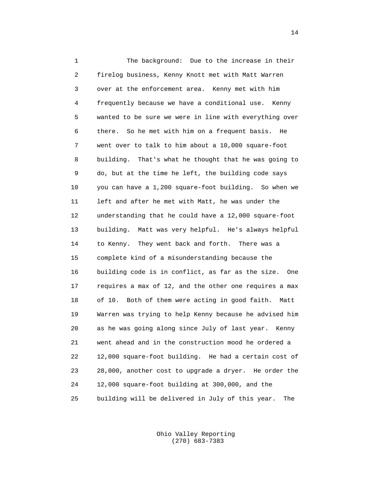1 The background: Due to the increase in their 2 firelog business, Kenny Knott met with Matt Warren 3 over at the enforcement area. Kenny met with him 4 frequently because we have a conditional use. Kenny 5 wanted to be sure we were in line with everything over 6 there. So he met with him on a frequent basis. He 7 went over to talk to him about a 10,000 square-foot 8 building. That's what he thought that he was going to 9 do, but at the time he left, the building code says 10 you can have a 1,200 square-foot building. So when we 11 left and after he met with Matt, he was under the 12 understanding that he could have a 12,000 square-foot 13 building. Matt was very helpful. He's always helpful 14 to Kenny. They went back and forth. There was a 15 complete kind of a misunderstanding because the 16 building code is in conflict, as far as the size. One 17 requires a max of 12, and the other one requires a max 18 of 10. Both of them were acting in good faith. Matt 19 Warren was trying to help Kenny because he advised him 20 as he was going along since July of last year. Kenny 21 went ahead and in the construction mood he ordered a 22 12,000 square-foot building. He had a certain cost of 23 28,000, another cost to upgrade a dryer. He order the 24 12,000 square-foot building at 300,000, and the 25 building will be delivered in July of this year. The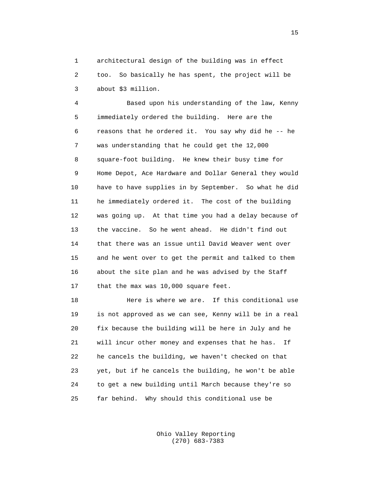1 architectural design of the building was in effect 2 too. So basically he has spent, the project will be 3 about \$3 million.

 4 Based upon his understanding of the law, Kenny 5 immediately ordered the building. Here are the 6 reasons that he ordered it. You say why did he -- he 7 was understanding that he could get the 12,000 8 square-foot building. He knew their busy time for 9 Home Depot, Ace Hardware and Dollar General they would 10 have to have supplies in by September. So what he did 11 he immediately ordered it. The cost of the building 12 was going up. At that time you had a delay because of 13 the vaccine. So he went ahead. He didn't find out 14 that there was an issue until David Weaver went over 15 and he went over to get the permit and talked to them 16 about the site plan and he was advised by the Staff 17 that the max was 10,000 square feet.

 18 Here is where we are. If this conditional use 19 is not approved as we can see, Kenny will be in a real 20 fix because the building will be here in July and he 21 will incur other money and expenses that he has. If 22 he cancels the building, we haven't checked on that 23 yet, but if he cancels the building, he won't be able 24 to get a new building until March because they're so 25 far behind. Why should this conditional use be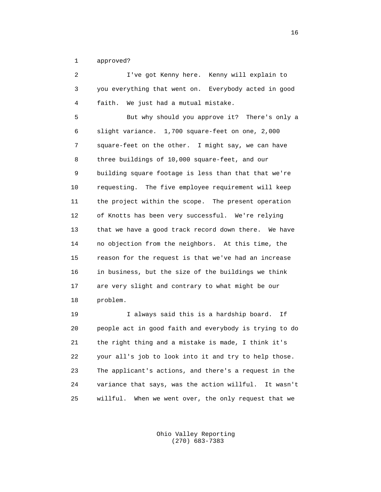1 approved?

| 2  | I've got Kenny here. Kenny will explain to           |
|----|------------------------------------------------------|
| 3  | you everything that went on. Everybody acted in good |
| 4  | We just had a mutual mistake.<br>faith.              |
| 5  | But why should you approve it? There's only a        |
| 6  | slight variance. 1,700 square-feet on one, 2,000     |
| 7  | square-feet on the other. I might say, we can have   |
| 8  | three buildings of 10,000 square-feet, and our       |
| 9  | building square footage is less than that that we're |
| 10 | requesting. The five employee requirement will keep  |
| 11 | the project within the scope. The present operation  |
| 12 | of Knotts has been very successful. We're relying    |
| 13 | that we have a good track record down there. We have |
| 14 | no objection from the neighbors. At this time, the   |
| 15 | reason for the request is that we've had an increase |
| 16 | in business, but the size of the buildings we think  |
| 17 | are very slight and contrary to what might be our    |
| 18 | problem.                                             |
| 19 | I always said this is a hardship board.<br>Ιf        |
|    |                                                      |

 20 people act in good faith and everybody is trying to do 21 the right thing and a mistake is made, I think it's 22 your all's job to look into it and try to help those. 23 The applicant's actions, and there's a request in the 24 variance that says, was the action willful. It wasn't 25 willful. When we went over, the only request that we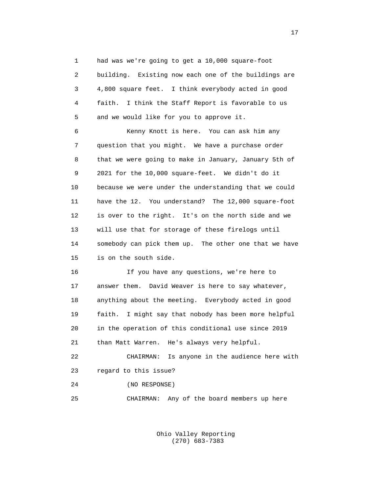1 had was we're going to get a 10,000 square-foot 2 building. Existing now each one of the buildings are 3 4,800 square feet. I think everybody acted in good 4 faith. I think the Staff Report is favorable to us 5 and we would like for you to approve it.

 6 Kenny Knott is here. You can ask him any 7 question that you might. We have a purchase order 8 that we were going to make in January, January 5th of 9 2021 for the 10,000 square-feet. We didn't do it 10 because we were under the understanding that we could 11 have the 12. You understand? The 12,000 square-foot 12 is over to the right. It's on the north side and we 13 will use that for storage of these firelogs until 14 somebody can pick them up. The other one that we have 15 is on the south side.

 16 If you have any questions, we're here to 17 answer them. David Weaver is here to say whatever, 18 anything about the meeting. Everybody acted in good 19 faith. I might say that nobody has been more helpful 20 in the operation of this conditional use since 2019 21 than Matt Warren. He's always very helpful. 22 CHAIRMAN: Is anyone in the audience here with

23 regard to this issue?

24 (NO RESPONSE)

25 CHAIRMAN: Any of the board members up here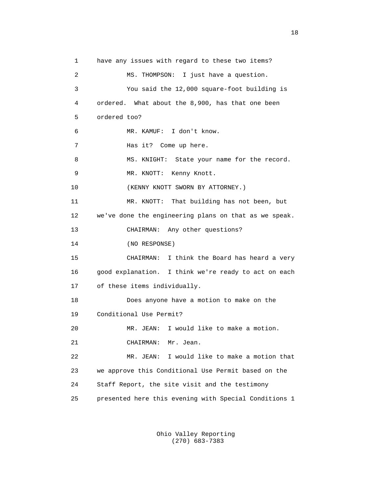1 have any issues with regard to these two items? 2 MS. THOMPSON: I just have a question. 3 You said the 12,000 square-foot building is 4 ordered. What about the 8,900, has that one been 5 ordered too? 6 MR. KAMUF: I don't know. 7 Has it? Come up here. 8 MS. KNIGHT: State your name for the record. 9 MR. KNOTT: Kenny Knott. 10 (KENNY KNOTT SWORN BY ATTORNEY.) 11 MR. KNOTT: That building has not been, but 12 we've done the engineering plans on that as we speak. 13 CHAIRMAN: Any other questions? 14 (NO RESPONSE) 15 CHAIRMAN: I think the Board has heard a very 16 good explanation. I think we're ready to act on each 17 of these items individually. 18 Does anyone have a motion to make on the 19 Conditional Use Permit? 20 MR. JEAN: I would like to make a motion. 21 CHAIRMAN: Mr. Jean. 22 MR. JEAN: I would like to make a motion that 23 we approve this Conditional Use Permit based on the 24 Staff Report, the site visit and the testimony 25 presented here this evening with Special Conditions 1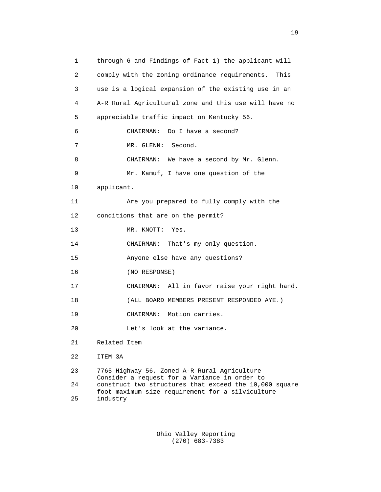1 through 6 and Findings of Fact 1) the applicant will 2 comply with the zoning ordinance requirements. This 3 use is a logical expansion of the existing use in an 4 A-R Rural Agricultural zone and this use will have no 5 appreciable traffic impact on Kentucky 56. 6 CHAIRMAN: Do I have a second? 7 MR. GLENN: Second. 8 CHAIRMAN: We have a second by Mr. Glenn. 9 Mr. Kamuf, I have one question of the 10 applicant. 11 Are you prepared to fully comply with the 12 conditions that are on the permit? 13 MR. KNOTT: Yes. 14 CHAIRMAN: That's my only question. 15 Anyone else have any questions? 16 (NO RESPONSE) 17 CHAIRMAN: All in favor raise your right hand. 18 (ALL BOARD MEMBERS PRESENT RESPONDED AYE.) 19 CHAIRMAN: Motion carries. 20 Let's look at the variance. 21 Related Item 22 ITEM 3A 23 7765 Highway 56, Zoned A-R Rural Agriculture Consider a request for a Variance in order to<br>24 construct two structures that exceed the 10.00 construct two structures that exceed the 10,000 square foot maximum size requirement for a silviculture industry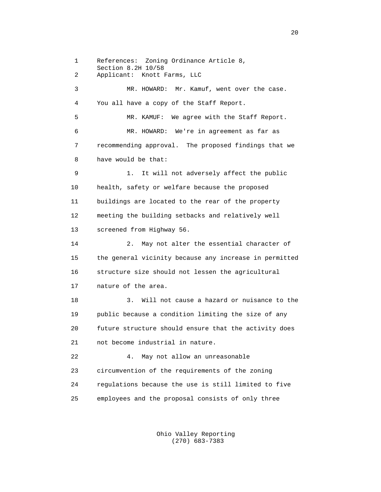1 References: Zoning Ordinance Article 8, Section 8.2H 10/58<br>2 Applicant: Knott 1 2 Applicant: Knott Farms, LLC 3 MR. HOWARD: Mr. Kamuf, went over the case. 4 You all have a copy of the Staff Report. 5 MR. KAMUF: We agree with the Staff Report. 6 MR. HOWARD: We're in agreement as far as 7 recommending approval. The proposed findings that we 8 have would be that: 9 1. It will not adversely affect the public 10 health, safety or welfare because the proposed 11 buildings are located to the rear of the property 12 meeting the building setbacks and relatively well 13 screened from Highway 56. 14 2. May not alter the essential character of 15 the general vicinity because any increase in permitted 16 structure size should not lessen the agricultural 17 nature of the area. 18 3. Will not cause a hazard or nuisance to the 19 public because a condition limiting the size of any 20 future structure should ensure that the activity does 21 not become industrial in nature. 22 4. May not allow an unreasonable 23 circumvention of the requirements of the zoning 24 regulations because the use is still limited to five 25 employees and the proposal consists of only three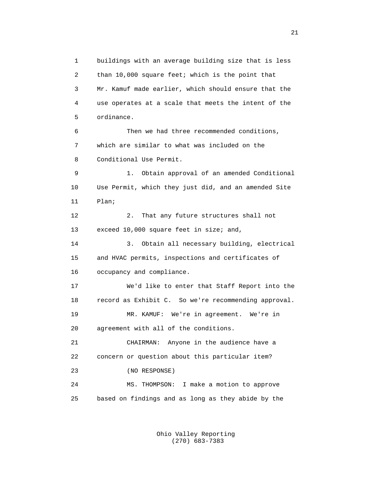1 buildings with an average building size that is less 2 than 10,000 square feet; which is the point that 3 Mr. Kamuf made earlier, which should ensure that the 4 use operates at a scale that meets the intent of the 5 ordinance. 6 Then we had three recommended conditions, 7 which are similar to what was included on the 8 Conditional Use Permit. 9 1. Obtain approval of an amended Conditional 10 Use Permit, which they just did, and an amended Site 11 Plan; 12 2. That any future structures shall not 13 exceed 10,000 square feet in size; and, 14 3. Obtain all necessary building, electrical 15 and HVAC permits, inspections and certificates of 16 occupancy and compliance. 17 We'd like to enter that Staff Report into the 18 record as Exhibit C. So we're recommending approval. 19 MR. KAMUF: We're in agreement. We're in 20 agreement with all of the conditions. 21 CHAIRMAN: Anyone in the audience have a 22 concern or question about this particular item? 23 (NO RESPONSE) 24 MS. THOMPSON: I make a motion to approve 25 based on findings and as long as they abide by the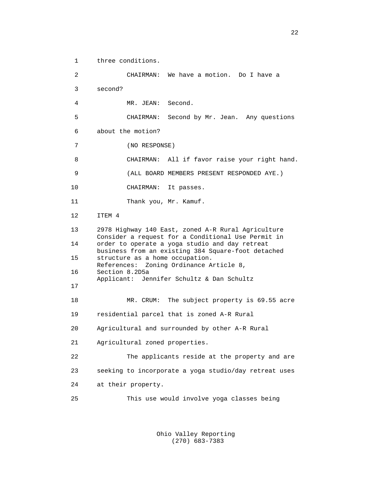1 three conditions. 2 CHAIRMAN: We have a motion. Do I have a 3 second? 4 MR. JEAN: Second. 5 CHAIRMAN: Second by Mr. Jean. Any questions 6 about the motion? 7 (NO RESPONSE) 8 CHAIRMAN: All if favor raise your right hand. 9 (ALL BOARD MEMBERS PRESENT RESPONDED AYE.) 10 CHAIRMAN: It passes. 11 Thank you, Mr. Kamuf. 12 ITEM 4 13 2978 Highway 140 East, zoned A-R Rural Agriculture Consider a request for a Conditional Use Permit in 14 order to operate a yoga studio and day retreat business from an existing 384 Square-foot detached<br>15 structure as a home occupation. structure as a home occupation. References: Zoning Ordinance Article 8,<br>16 Section 8.2D5a Section 8.2D5a Applicant: Jennifer Schultz & Dan Schultz 17 18 MR. CRUM: The subject property is 69.55 acre 19 residential parcel that is zoned A-R Rural 20 Agricultural and surrounded by other A-R Rural 21 Agricultural zoned properties. 22 The applicants reside at the property and are 23 seeking to incorporate a yoga studio/day retreat uses 24 at their property. 25 This use would involve yoga classes being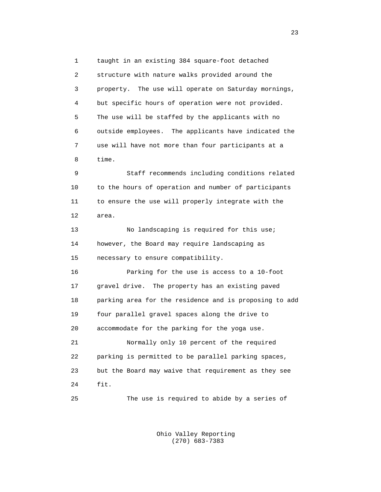1 taught in an existing 384 square-foot detached 2 structure with nature walks provided around the 3 property. The use will operate on Saturday mornings, 4 but specific hours of operation were not provided. 5 The use will be staffed by the applicants with no 6 outside employees. The applicants have indicated the 7 use will have not more than four participants at a 8 time.

 9 Staff recommends including conditions related 10 to the hours of operation and number of participants 11 to ensure the use will properly integrate with the 12 area.

13 No landscaping is required for this use; 14 however, the Board may require landscaping as 15 necessary to ensure compatibility.

 16 Parking for the use is access to a 10-foot 17 gravel drive. The property has an existing paved 18 parking area for the residence and is proposing to add 19 four parallel gravel spaces along the drive to 20 accommodate for the parking for the yoga use. 21 Normally only 10 percent of the required 22 parking is permitted to be parallel parking spaces,

 23 but the Board may waive that requirement as they see 24 fit.

25 The use is required to abide by a series of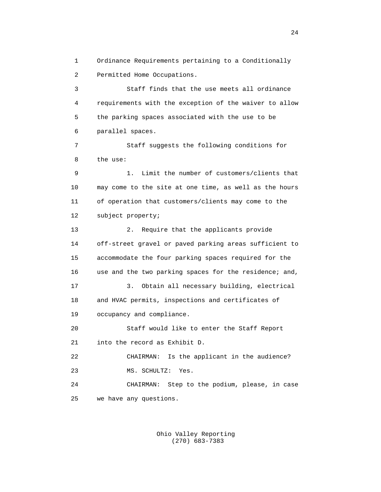1 Ordinance Requirements pertaining to a Conditionally 2 Permitted Home Occupations.

 3 Staff finds that the use meets all ordinance 4 requirements with the exception of the waiver to allow 5 the parking spaces associated with the use to be 6 parallel spaces.

 7 Staff suggests the following conditions for 8 the use:

 9 1. Limit the number of customers/clients that 10 may come to the site at one time, as well as the hours 11 of operation that customers/clients may come to the 12 subject property;

 13 2. Require that the applicants provide 14 off-street gravel or paved parking areas sufficient to 15 accommodate the four parking spaces required for the 16 use and the two parking spaces for the residence; and, 17 3. Obtain all necessary building, electrical 18 and HVAC permits, inspections and certificates of 19 occupancy and compliance. 20 Staff would like to enter the Staff Report 21 into the record as Exhibit D. 22 CHAIRMAN: Is the applicant in the audience? 23 MS. SCHULTZ: Yes.

 24 CHAIRMAN: Step to the podium, please, in case 25 we have any questions.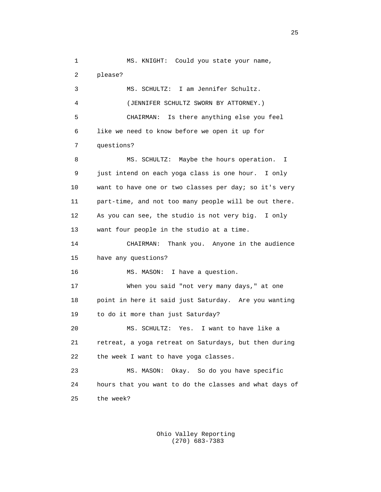1 MS. KNIGHT: Could you state your name, 2 please? 3 MS. SCHULTZ: I am Jennifer Schultz. 4 (JENNIFER SCHULTZ SWORN BY ATTORNEY.) 5 CHAIRMAN: Is there anything else you feel 6 like we need to know before we open it up for 7 questions? 8 MS. SCHULTZ: Maybe the hours operation. I 9 just intend on each yoga class is one hour. I only 10 want to have one or two classes per day; so it's very 11 part-time, and not too many people will be out there. 12 As you can see, the studio is not very big. I only 13 want four people in the studio at a time. 14 CHAIRMAN: Thank you. Anyone in the audience 15 have any questions? 16 MS. MASON: I have a question. 17 When you said "not very many days," at one 18 point in here it said just Saturday. Are you wanting 19 to do it more than just Saturday? 20 MS. SCHULTZ: Yes. I want to have like a 21 retreat, a yoga retreat on Saturdays, but then during 22 the week I want to have yoga classes. 23 MS. MASON: Okay. So do you have specific 24 hours that you want to do the classes and what days of 25 the week?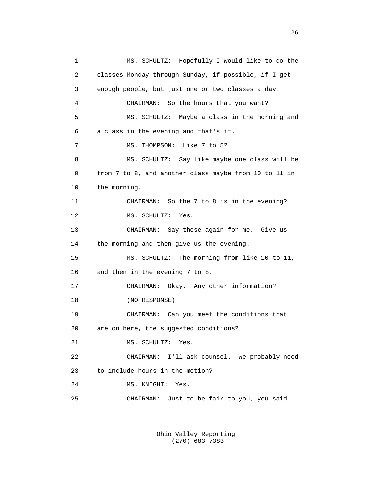1 MS. SCHULTZ: Hopefully I would like to do the 2 classes Monday through Sunday, if possible, if I get 3 enough people, but just one or two classes a day. 4 CHAIRMAN: So the hours that you want? 5 MS. SCHULTZ: Maybe a class in the morning and 6 a class in the evening and that's it. 7 MS. THOMPSON: Like 7 to 5? 8 MS. SCHULTZ: Say like maybe one class will be 9 from 7 to 8, and another class maybe from 10 to 11 in 10 the morning. 11 CHAIRMAN: So the 7 to 8 is in the evening? 12 MS. SCHULTZ: Yes. 13 CHAIRMAN: Say those again for me. Give us 14 the morning and then give us the evening. 15 MS. SCHULTZ: The morning from like 10 to 11, 16 and then in the evening 7 to 8. 17 CHAIRMAN: Okay. Any other information? 18 (NO RESPONSE) 19 CHAIRMAN: Can you meet the conditions that 20 are on here, the suggested conditions? 21 MS. SCHULTZ: Yes. 22 CHAIRMAN: I'll ask counsel. We probably need 23 to include hours in the motion? 24 MS. KNIGHT: Yes. 25 CHAIRMAN: Just to be fair to you, you said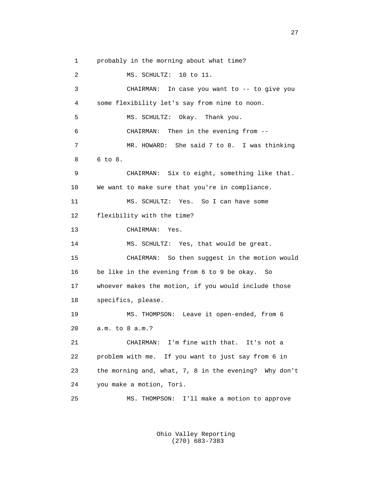1 probably in the morning about what time? 2 MS. SCHULTZ: 10 to 11. 3 CHAIRMAN: In case you want to -- to give you 4 some flexibility let's say from nine to noon. 5 MS. SCHULTZ: Okay. Thank you. 6 CHAIRMAN: Then in the evening from -- 7 MR. HOWARD: She said 7 to 8. I was thinking 8 6 to 8. 9 CHAIRMAN: Six to eight, something like that. 10 We want to make sure that you're in compliance. 11 MS. SCHULTZ: Yes. So I can have some 12 flexibility with the time? 13 CHAIRMAN: Yes. 14 MS. SCHULTZ: Yes, that would be great. 15 CHAIRMAN: So then suggest in the motion would 16 be like in the evening from 6 to 9 be okay. So 17 whoever makes the motion, if you would include those 18 specifics, please. 19 MS. THOMPSON: Leave it open-ended, from 6 20 a.m. to 8 a.m.? 21 CHAIRMAN: I'm fine with that. It's not a 22 problem with me. If you want to just say from 6 in 23 the morning and, what, 7, 8 in the evening? Why don't 24 you make a motion, Tori. 25 MS. THOMPSON: I'll make a motion to approve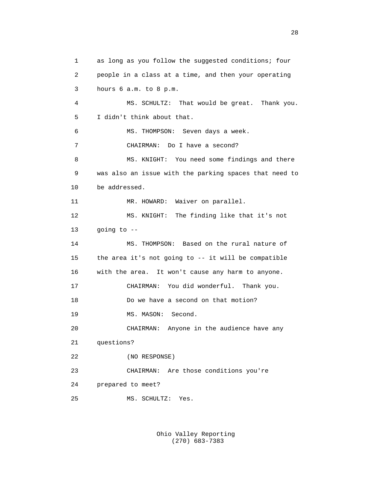1 as long as you follow the suggested conditions; four 2 people in a class at a time, and then your operating 3 hours 6 a.m. to 8 p.m. 4 MS. SCHULTZ: That would be great. Thank you. 5 I didn't think about that. 6 MS. THOMPSON: Seven days a week. 7 CHAIRMAN: Do I have a second? 8 MS. KNIGHT: You need some findings and there 9 was also an issue with the parking spaces that need to 10 be addressed. 11 MR. HOWARD: Waiver on parallel. 12 MS. KNIGHT: The finding like that it's not 13 going to -- 14 MS. THOMPSON: Based on the rural nature of 15 the area it's not going to -- it will be compatible 16 with the area. It won't cause any harm to anyone. 17 CHAIRMAN: You did wonderful. Thank you. 18 Do we have a second on that motion? 19 MS. MASON: Second. 20 CHAIRMAN: Anyone in the audience have any 21 questions? 22 (NO RESPONSE) 23 CHAIRMAN: Are those conditions you're 24 prepared to meet? 25 MS. SCHULTZ: Yes.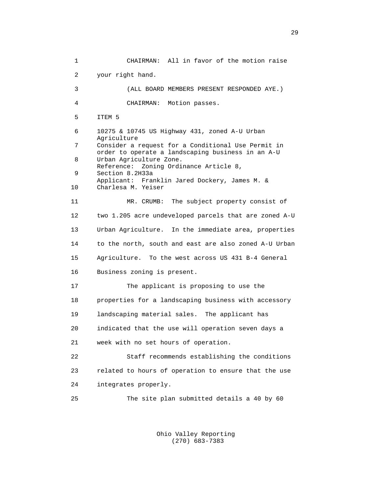1 CHAIRMAN: All in favor of the motion raise 2 your right hand. 3 (ALL BOARD MEMBERS PRESENT RESPONDED AYE.) 4 CHAIRMAN: Motion passes. 5 ITEM 5 6 10275 & 10745 US Highway 431, zoned A-U Urban Agriculture<br>7 Consider a Consider a request for a Conditional Use Permit in order to operate a landscaping business in an A-U<br>B<br>IIrban Agriculture Zone Urban Agriculture Zone. Reference: Zoning Ordinance Article 8,<br>9 Section 8.2H33a Section 8.2H33a Applicant: Franklin Jared Dockery, James M. &<br>10 Charlesa M. Yeiser Charlesa M. Yeiser 11 MR. CRUMB: The subject property consist of 12 two 1.205 acre undeveloped parcels that are zoned A-U 13 Urban Agriculture. In the immediate area, properties 14 to the north, south and east are also zoned A-U Urban 15 Agriculture. To the west across US 431 B-4 General 16 Business zoning is present. 17 The applicant is proposing to use the 18 properties for a landscaping business with accessory 19 landscaping material sales. The applicant has 20 indicated that the use will operation seven days a 21 week with no set hours of operation. 22 Staff recommends establishing the conditions 23 related to hours of operation to ensure that the use 24 integrates properly. 25 The site plan submitted details a 40 by 60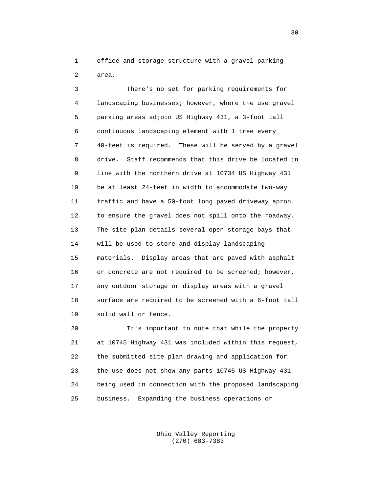1 office and storage structure with a gravel parking 2 area.

 3 There's no set for parking requirements for 4 landscaping businesses; however, where the use gravel 5 parking areas adjoin US Highway 431, a 3-foot tall 6 continuous landscaping element with 1 tree every 7 40-feet is required. These will be served by a gravel 8 drive. Staff recommends that this drive be located in 9 line with the northern drive at 10734 US Highway 431 10 be at least 24-feet in width to accommodate two-way 11 traffic and have a 50-foot long paved driveway apron 12 to ensure the gravel does not spill onto the roadway. 13 The site plan details several open storage bays that 14 will be used to store and display landscaping 15 materials. Display areas that are paved with asphalt 16 or concrete are not required to be screened; however, 17 any outdoor storage or display areas with a gravel 18 surface are required to be screened with a 6-foot tall 19 solid wall or fence.

 20 It's important to note that while the property 21 at 10745 Highway 431 was included within this request, 22 the submitted site plan drawing and application for 23 the use does not show any parts 10745 US Highway 431 24 being used in connection with the proposed landscaping 25 business. Expanding the business operations or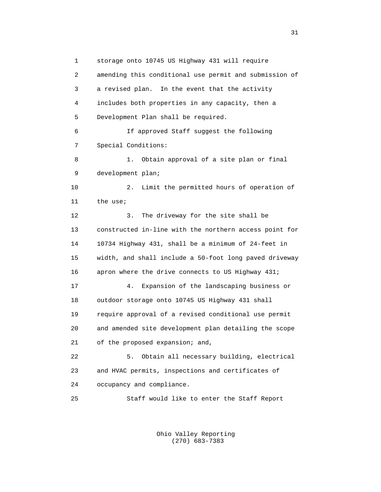1 storage onto 10745 US Highway 431 will require 2 amending this conditional use permit and submission of 3 a revised plan. In the event that the activity 4 includes both properties in any capacity, then a 5 Development Plan shall be required. 6 If approved Staff suggest the following 7 Special Conditions: 8 1. Obtain approval of a site plan or final 9 development plan; 10 2. Limit the permitted hours of operation of 11 the use; 12 3. The driveway for the site shall be 13 constructed in-line with the northern access point for 14 10734 Highway 431, shall be a minimum of 24-feet in 15 width, and shall include a 50-foot long paved driveway 16 apron where the drive connects to US Highway 431; 17 4. Expansion of the landscaping business or 18 outdoor storage onto 10745 US Highway 431 shall 19 require approval of a revised conditional use permit 20 and amended site development plan detailing the scope 21 of the proposed expansion; and, 22 5. Obtain all necessary building, electrical 23 and HVAC permits, inspections and certificates of 24 occupancy and compliance. 25 Staff would like to enter the Staff Report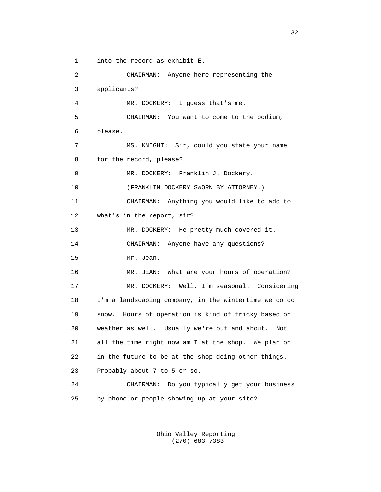1 into the record as exhibit E.

 2 CHAIRMAN: Anyone here representing the 3 applicants? 4 MR. DOCKERY: I guess that's me. 5 CHAIRMAN: You want to come to the podium, 6 please. 7 MS. KNIGHT: Sir, could you state your name 8 for the record, please? 9 MR. DOCKERY: Franklin J. Dockery. 10 (FRANKLIN DOCKERY SWORN BY ATTORNEY.) 11 CHAIRMAN: Anything you would like to add to 12 what's in the report, sir? 13 MR. DOCKERY: He pretty much covered it. 14 CHAIRMAN: Anyone have any questions? 15 Mr. Jean. 16 MR. JEAN: What are your hours of operation? 17 MR. DOCKERY: Well, I'm seasonal. Considering 18 I'm a landscaping company, in the wintertime we do do 19 snow. Hours of operation is kind of tricky based on 20 weather as well. Usually we're out and about. Not 21 all the time right now am I at the shop. We plan on 22 in the future to be at the shop doing other things. 23 Probably about 7 to 5 or so. 24 CHAIRMAN: Do you typically get your business 25 by phone or people showing up at your site?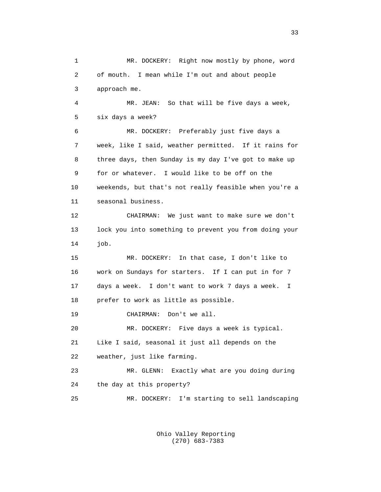1 MR. DOCKERY: Right now mostly by phone, word 2 of mouth. I mean while I'm out and about people 3 approach me. 4 MR. JEAN: So that will be five days a week, 5 six days a week? 6 MR. DOCKERY: Preferably just five days a 7 week, like I said, weather permitted. If it rains for 8 three days, then Sunday is my day I've got to make up 9 for or whatever. I would like to be off on the 10 weekends, but that's not really feasible when you're a 11 seasonal business. 12 CHAIRMAN: We just want to make sure we don't 13 lock you into something to prevent you from doing your 14 job. 15 MR. DOCKERY: In that case, I don't like to 16 work on Sundays for starters. If I can put in for 7 17 days a week. I don't want to work 7 days a week. I 18 prefer to work as little as possible. 19 CHAIRMAN: Don't we all. 20 MR. DOCKERY: Five days a week is typical. 21 Like I said, seasonal it just all depends on the 22 weather, just like farming. 23 MR. GLENN: Exactly what are you doing during 24 the day at this property? 25 MR. DOCKERY: I'm starting to sell landscaping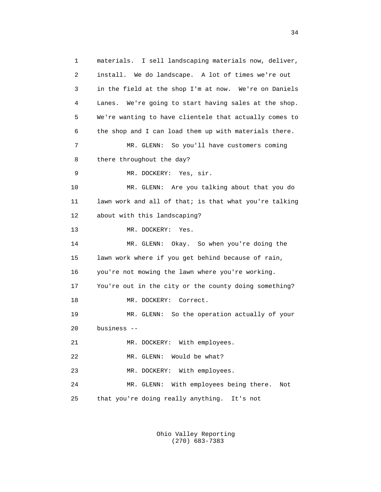1 materials. I sell landscaping materials now, deliver, 2 install. We do landscape. A lot of times we're out 3 in the field at the shop I'm at now. We're on Daniels 4 Lanes. We're going to start having sales at the shop. 5 We're wanting to have clientele that actually comes to 6 the shop and I can load them up with materials there. 7 MR. GLENN: So you'll have customers coming 8 there throughout the day? 9 MR. DOCKERY: Yes, sir. 10 MR. GLENN: Are you talking about that you do 11 lawn work and all of that; is that what you're talking 12 about with this landscaping? 13 MR. DOCKERY: Yes. 14 MR. GLENN: Okay. So when you're doing the 15 lawn work where if you get behind because of rain, 16 you're not mowing the lawn where you're working. 17 You're out in the city or the county doing something? 18 MR. DOCKERY: Correct. 19 MR. GLENN: So the operation actually of your 20 business -- 21 MR. DOCKERY: With employees. 22 MR. GLENN: Would be what? 23 MR. DOCKERY: With employees. 24 MR. GLENN: With employees being there. Not 25 that you're doing really anything. It's not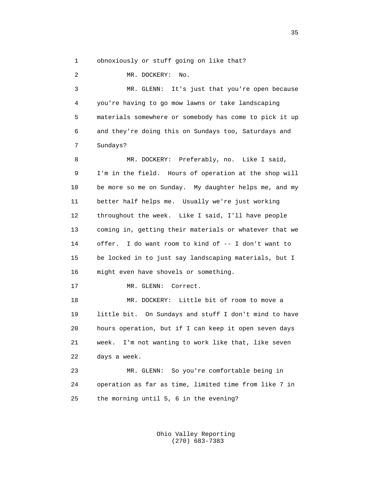1 obnoxiously or stuff going on like that?

 2 MR. DOCKERY: No. 3 MR. GLENN: It's just that you're open because 4 you're having to go mow lawns or take landscaping 5 materials somewhere or somebody has come to pick it up 6 and they're doing this on Sundays too, Saturdays and 7 Sundays? 8 MR. DOCKERY: Preferably, no. Like I said, 9 I'm in the field. Hours of operation at the shop will 10 be more so me on Sunday. My daughter helps me, and my 11 better half helps me. Usually we're just working 12 throughout the week. Like I said, I'll have people 13 coming in, getting their materials or whatever that we 14 offer. I do want room to kind of -- I don't want to 15 be locked in to just say landscaping materials, but I 16 might even have shovels or something. 17 MR. GLENN: Correct. 18 MR. DOCKERY: Little bit of room to move a 19 little bit. On Sundays and stuff I don't mind to have 20 hours operation, but if I can keep it open seven days 21 week. I'm not wanting to work like that, like seven

22 days a week.

 23 MR. GLENN: So you're comfortable being in 24 operation as far as time, limited time from like 7 in 25 the morning until 5, 6 in the evening?

> Ohio Valley Reporting (270) 683-7383

 $35$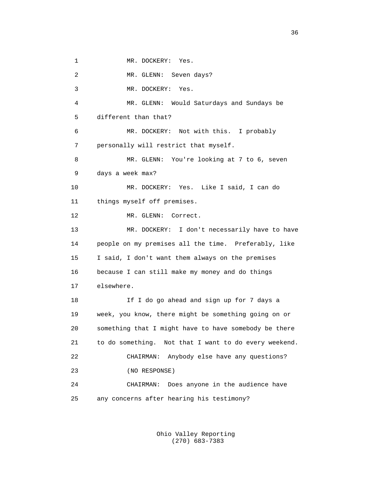1 MR. DOCKERY: Yes.

2 MR. GLENN: Seven days?

3 MR. DOCKERY: Yes.

 4 MR. GLENN: Would Saturdays and Sundays be 5 different than that?

 6 MR. DOCKERY: Not with this. I probably 7 personally will restrict that myself.

 8 MR. GLENN: You're looking at 7 to 6, seven 9 days a week max?

 10 MR. DOCKERY: Yes. Like I said, I can do 11 things myself off premises.

12 MR. GLENN: Correct.

 13 MR. DOCKERY: I don't necessarily have to have 14 people on my premises all the time. Preferably, like 15 I said, I don't want them always on the premises 16 because I can still make my money and do things 17 elsewhere.

 18 If I do go ahead and sign up for 7 days a 19 week, you know, there might be something going on or 20 something that I might have to have somebody be there 21 to do something. Not that I want to do every weekend. 22 CHAIRMAN: Anybody else have any questions? 23 (NO RESPONSE) 24 CHAIRMAN: Does anyone in the audience have 25 any concerns after hearing his testimony?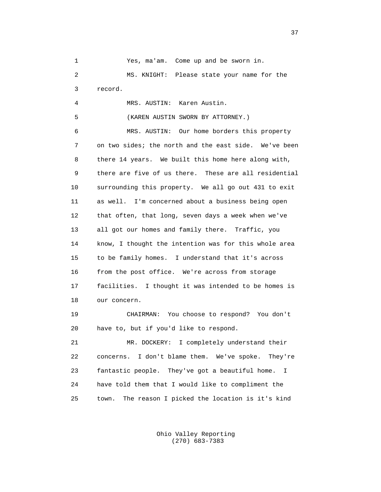1 Yes, ma'am. Come up and be sworn in. 2 MS. KNIGHT: Please state your name for the 3 record. 4 MRS. AUSTIN: Karen Austin. 5 (KAREN AUSTIN SWORN BY ATTORNEY.) 6 MRS. AUSTIN: Our home borders this property 7 on two sides; the north and the east side. We've been 8 there 14 years. We built this home here along with, 9 there are five of us there. These are all residential 10 surrounding this property. We all go out 431 to exit 11 as well. I'm concerned about a business being open 12 that often, that long, seven days a week when we've 13 all got our homes and family there. Traffic, you 14 know, I thought the intention was for this whole area 15 to be family homes. I understand that it's across 16 from the post office. We're across from storage 17 facilities. I thought it was intended to be homes is 18 our concern. 19 CHAIRMAN: You choose to respond? You don't 20 have to, but if you'd like to respond. 21 MR. DOCKERY: I completely understand their 22 concerns. I don't blame them. We've spoke. They're

 23 fantastic people. They've got a beautiful home. I 24 have told them that I would like to compliment the 25 town. The reason I picked the location is it's kind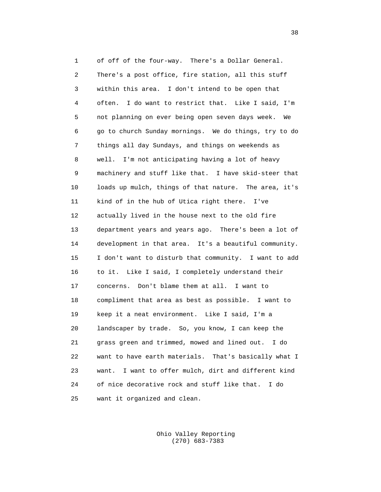1 of off of the four-way. There's a Dollar General. 2 There's a post office, fire station, all this stuff 3 within this area. I don't intend to be open that 4 often. I do want to restrict that. Like I said, I'm 5 not planning on ever being open seven days week. We 6 go to church Sunday mornings. We do things, try to do 7 things all day Sundays, and things on weekends as 8 well. I'm not anticipating having a lot of heavy 9 machinery and stuff like that. I have skid-steer that 10 loads up mulch, things of that nature. The area, it's 11 kind of in the hub of Utica right there. I've 12 actually lived in the house next to the old fire 13 department years and years ago. There's been a lot of 14 development in that area. It's a beautiful community. 15 I don't want to disturb that community. I want to add 16 to it. Like I said, I completely understand their 17 concerns. Don't blame them at all. I want to 18 compliment that area as best as possible. I want to 19 keep it a neat environment. Like I said, I'm a 20 landscaper by trade. So, you know, I can keep the 21 grass green and trimmed, mowed and lined out. I do 22 want to have earth materials. That's basically what I 23 want. I want to offer mulch, dirt and different kind 24 of nice decorative rock and stuff like that. I do 25 want it organized and clean.

> Ohio Valley Reporting (270) 683-7383

 $38<sup>3</sup>$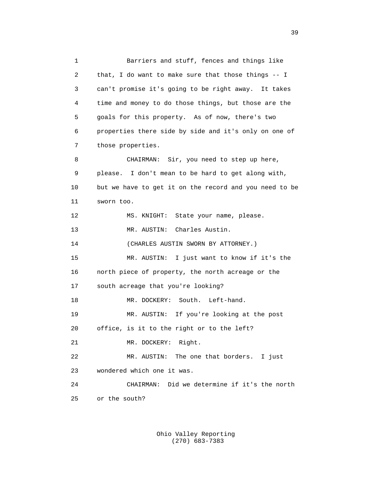1 Barriers and stuff, fences and things like 2 that, I do want to make sure that those things -- I 3 can't promise it's going to be right away. It takes 4 time and money to do those things, but those are the 5 goals for this property. As of now, there's two 6 properties there side by side and it's only on one of 7 those properties. 8 CHAIRMAN: Sir, you need to step up here, 9 please. I don't mean to be hard to get along with, 10 but we have to get it on the record and you need to be 11 sworn too. 12 MS. KNIGHT: State your name, please. 13 MR. AUSTIN: Charles Austin. 14 (CHARLES AUSTIN SWORN BY ATTORNEY.) 15 MR. AUSTIN: I just want to know if it's the 16 north piece of property, the north acreage or the 17 south acreage that you're looking? 18 MR. DOCKERY: South. Left-hand. 19 MR. AUSTIN: If you're looking at the post 20 office, is it to the right or to the left? 21 MR. DOCKERY: Right. 22 MR. AUSTIN: The one that borders. I just 23 wondered which one it was. 24 CHAIRMAN: Did we determine if it's the north 25 or the south?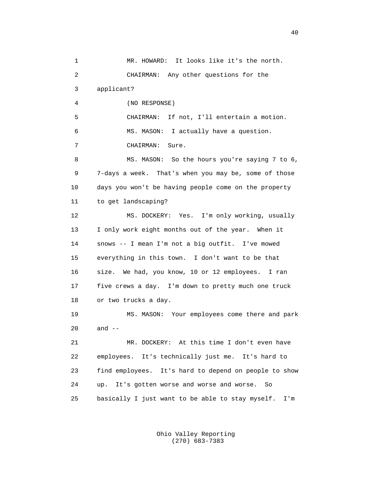1 MR. HOWARD: It looks like it's the north. 2 CHAIRMAN: Any other questions for the 3 applicant? 4 (NO RESPONSE) 5 CHAIRMAN: If not, I'll entertain a motion. 6 MS. MASON: I actually have a question. 7 CHAIRMAN: Sure. 8 MS. MASON: So the hours you're saying 7 to 6, 9 7-days a week. That's when you may be, some of those 10 days you won't be having people come on the property 11 to get landscaping? 12 MS. DOCKERY: Yes. I'm only working, usually 13 I only work eight months out of the year. When it 14 snows -- I mean I'm not a big outfit. I've mowed 15 everything in this town. I don't want to be that 16 size. We had, you know, 10 or 12 employees. I ran 17 five crews a day. I'm down to pretty much one truck 18 or two trucks a day. 19 MS. MASON: Your employees come there and park 20 and -- 21 MR. DOCKERY: At this time I don't even have 22 employees. It's technically just me. It's hard to 23 find employees. It's hard to depend on people to show 24 up. It's gotten worse and worse and worse. So 25 basically I just want to be able to stay myself. I'm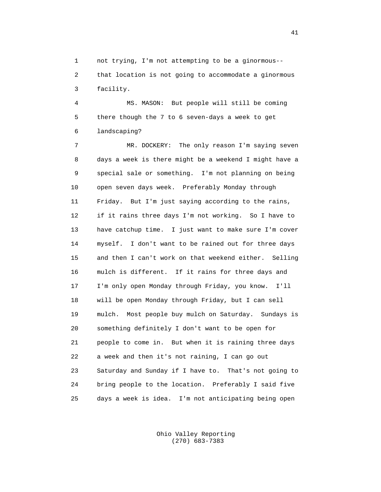1 not trying, I'm not attempting to be a ginormous--

 2 that location is not going to accommodate a ginormous 3 facility.

 4 MS. MASON: But people will still be coming 5 there though the 7 to 6 seven-days a week to get 6 landscaping?

 7 MR. DOCKERY: The only reason I'm saying seven 8 days a week is there might be a weekend I might have a 9 special sale or something. I'm not planning on being 10 open seven days week. Preferably Monday through 11 Friday. But I'm just saying according to the rains, 12 if it rains three days I'm not working. So I have to 13 have catchup time. I just want to make sure I'm cover 14 myself. I don't want to be rained out for three days 15 and then I can't work on that weekend either. Selling 16 mulch is different. If it rains for three days and 17 I'm only open Monday through Friday, you know. I'll 18 will be open Monday through Friday, but I can sell 19 mulch. Most people buy mulch on Saturday. Sundays is 20 something definitely I don't want to be open for 21 people to come in. But when it is raining three days 22 a week and then it's not raining, I can go out 23 Saturday and Sunday if I have to. That's not going to 24 bring people to the location. Preferably I said five 25 days a week is idea. I'm not anticipating being open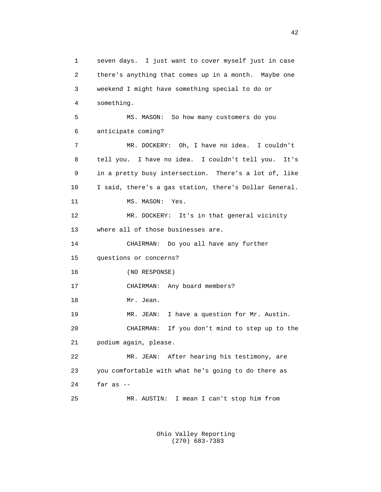1 seven days. I just want to cover myself just in case 2 there's anything that comes up in a month. Maybe one 3 weekend I might have something special to do or 4 something. 5 MS. MASON: So how many customers do you 6 anticipate coming? 7 MR. DOCKERY: Oh, I have no idea. I couldn't 8 tell you. I have no idea. I couldn't tell you. It's 9 in a pretty busy intersection. There's a lot of, like 10 I said, there's a gas station, there's Dollar General. 11 MS. MASON: Yes. 12 MR. DOCKERY: It's in that general vicinity 13 where all of those businesses are. 14 CHAIRMAN: Do you all have any further 15 questions or concerns? 16 (NO RESPONSE) 17 CHAIRMAN: Any board members? 18 Mr. Jean. 19 MR. JEAN: I have a question for Mr. Austin. 20 CHAIRMAN: If you don't mind to step up to the 21 podium again, please. 22 MR. JEAN: After hearing his testimony, are 23 you comfortable with what he's going to do there as 24 far as -- 25 MR. AUSTIN: I mean I can't stop him from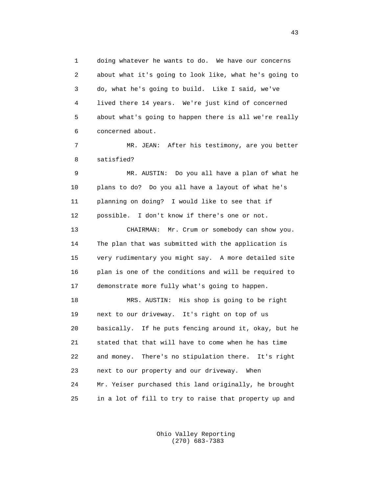1 doing whatever he wants to do. We have our concerns 2 about what it's going to look like, what he's going to 3 do, what he's going to build. Like I said, we've 4 lived there 14 years. We're just kind of concerned 5 about what's going to happen there is all we're really 6 concerned about.

 7 MR. JEAN: After his testimony, are you better 8 satisfied?

 9 MR. AUSTIN: Do you all have a plan of what he 10 plans to do? Do you all have a layout of what he's 11 planning on doing? I would like to see that if 12 possible. I don't know if there's one or not.

 13 CHAIRMAN: Mr. Crum or somebody can show you. 14 The plan that was submitted with the application is 15 very rudimentary you might say. A more detailed site 16 plan is one of the conditions and will be required to 17 demonstrate more fully what's going to happen.

 18 MRS. AUSTIN: His shop is going to be right 19 next to our driveway. It's right on top of us 20 basically. If he puts fencing around it, okay, but he 21 stated that that will have to come when he has time 22 and money. There's no stipulation there. It's right 23 next to our property and our driveway. When 24 Mr. Yeiser purchased this land originally, he brought 25 in a lot of fill to try to raise that property up and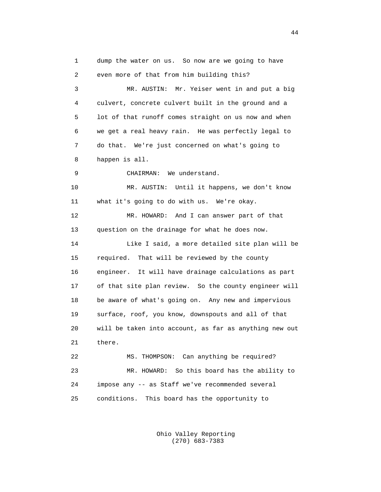1 dump the water on us. So now are we going to have 2 even more of that from him building this? 3 MR. AUSTIN: Mr. Yeiser went in and put a big 4 culvert, concrete culvert built in the ground and a 5 lot of that runoff comes straight on us now and when 6 we get a real heavy rain. He was perfectly legal to 7 do that. We're just concerned on what's going to 8 happen is all. 9 CHAIRMAN: We understand. 10 MR. AUSTIN: Until it happens, we don't know 11 what it's going to do with us. We're okay. 12 MR. HOWARD: And I can answer part of that 13 question on the drainage for what he does now. 14 Like I said, a more detailed site plan will be 15 required. That will be reviewed by the county 16 engineer. It will have drainage calculations as part 17 of that site plan review. So the county engineer will 18 be aware of what's going on. Any new and impervious 19 surface, roof, you know, downspouts and all of that 20 will be taken into account, as far as anything new out 21 there. 22 MS. THOMPSON: Can anything be required? 23 MR. HOWARD: So this board has the ability to 24 impose any -- as Staff we've recommended several 25 conditions. This board has the opportunity to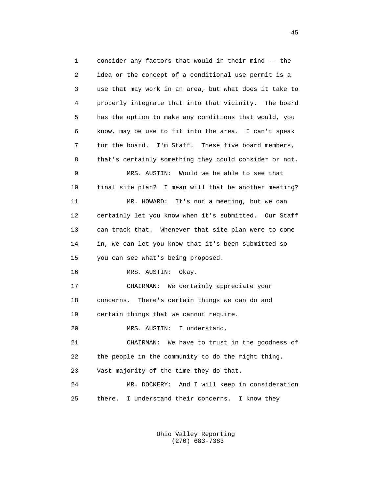1 consider any factors that would in their mind -- the 2 idea or the concept of a conditional use permit is a 3 use that may work in an area, but what does it take to 4 properly integrate that into that vicinity. The board 5 has the option to make any conditions that would, you 6 know, may be use to fit into the area. I can't speak 7 for the board. I'm Staff. These five board members, 8 that's certainly something they could consider or not. 9 MRS. AUSTIN: Would we be able to see that 10 final site plan? I mean will that be another meeting? 11 MR. HOWARD: It's not a meeting, but we can 12 certainly let you know when it's submitted. Our Staff 13 can track that. Whenever that site plan were to come 14 in, we can let you know that it's been submitted so 15 you can see what's being proposed. 16 MRS. AUSTIN: Okay. 17 CHAIRMAN: We certainly appreciate your 18 concerns. There's certain things we can do and 19 certain things that we cannot require. 20 MRS. AUSTIN: I understand. 21 CHAIRMAN: We have to trust in the goodness of 22 the people in the community to do the right thing. 23 Vast majority of the time they do that. 24 MR. DOCKERY: And I will keep in consideration 25 there. I understand their concerns. I know they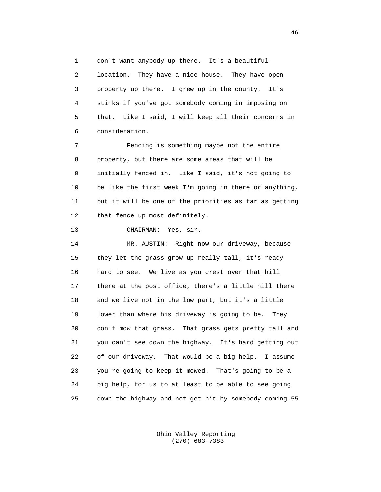1 don't want anybody up there. It's a beautiful 2 location. They have a nice house. They have open 3 property up there. I grew up in the county. It's 4 stinks if you've got somebody coming in imposing on 5 that. Like I said, I will keep all their concerns in 6 consideration.

 7 Fencing is something maybe not the entire 8 property, but there are some areas that will be 9 initially fenced in. Like I said, it's not going to 10 be like the first week I'm going in there or anything, 11 but it will be one of the priorities as far as getting 12 that fence up most definitely.

13 CHAIRMAN: Yes, sir.

 14 MR. AUSTIN: Right now our driveway, because 15 they let the grass grow up really tall, it's ready 16 hard to see. We live as you crest over that hill 17 there at the post office, there's a little hill there 18 and we live not in the low part, but it's a little 19 lower than where his driveway is going to be. They 20 don't mow that grass. That grass gets pretty tall and 21 you can't see down the highway. It's hard getting out 22 of our driveway. That would be a big help. I assume 23 you're going to keep it mowed. That's going to be a 24 big help, for us to at least to be able to see going 25 down the highway and not get hit by somebody coming 55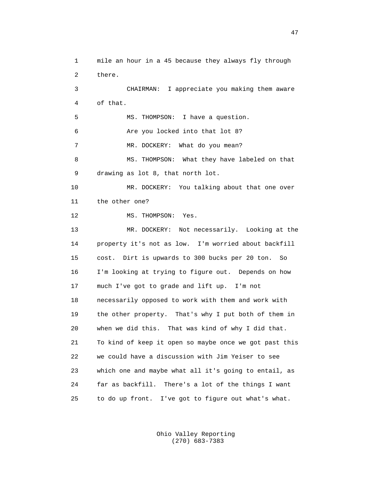1 mile an hour in a 45 because they always fly through 2 there. 3 CHAIRMAN: I appreciate you making them aware 4 of that. 5 MS. THOMPSON: I have a question. 6 Are you locked into that lot 8? 7 MR. DOCKERY: What do you mean? 8 MS. THOMPSON: What they have labeled on that 9 drawing as lot 8, that north lot. 10 MR. DOCKERY: You talking about that one over 11 the other one? 12 MS. THOMPSON: Yes. 13 MR. DOCKERY: Not necessarily. Looking at the 14 property it's not as low. I'm worried about backfill 15 cost. Dirt is upwards to 300 bucks per 20 ton. So 16 I'm looking at trying to figure out. Depends on how 17 much I've got to grade and lift up. I'm not 18 necessarily opposed to work with them and work with 19 the other property. That's why I put both of them in 20 when we did this. That was kind of why I did that. 21 To kind of keep it open so maybe once we got past this 22 we could have a discussion with Jim Yeiser to see 23 which one and maybe what all it's going to entail, as 24 far as backfill. There's a lot of the things I want 25 to do up front. I've got to figure out what's what.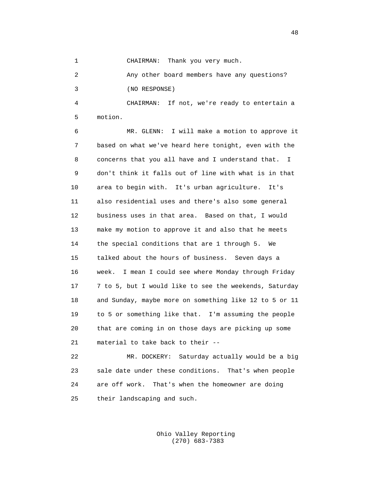1 CHAIRMAN: Thank you very much.

 2 Any other board members have any questions? 3 (NO RESPONSE)

 4 CHAIRMAN: If not, we're ready to entertain a 5 motion.

 6 MR. GLENN: I will make a motion to approve it 7 based on what we've heard here tonight, even with the 8 concerns that you all have and I understand that. I 9 don't think it falls out of line with what is in that 10 area to begin with. It's urban agriculture. It's 11 also residential uses and there's also some general 12 business uses in that area. Based on that, I would 13 make my motion to approve it and also that he meets 14 the special conditions that are 1 through 5. We 15 talked about the hours of business. Seven days a 16 week. I mean I could see where Monday through Friday 17 7 to 5, but I would like to see the weekends, Saturday 18 and Sunday, maybe more on something like 12 to 5 or 11 19 to 5 or something like that. I'm assuming the people 20 that are coming in on those days are picking up some 21 material to take back to their --

 22 MR. DOCKERY: Saturday actually would be a big 23 sale date under these conditions. That's when people 24 are off work. That's when the homeowner are doing 25 their landscaping and such.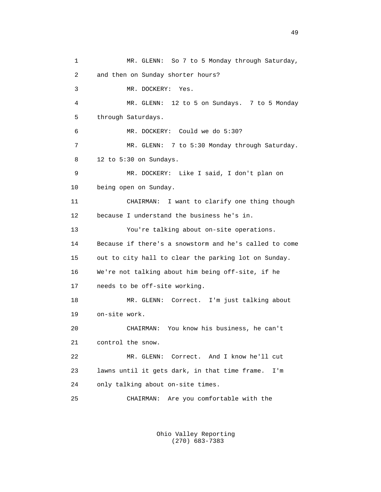1 MR. GLENN: So 7 to 5 Monday through Saturday, 2 and then on Sunday shorter hours? 3 MR. DOCKERY: Yes. 4 MR. GLENN: 12 to 5 on Sundays. 7 to 5 Monday 5 through Saturdays. 6 MR. DOCKERY: Could we do 5:30? 7 MR. GLENN: 7 to 5:30 Monday through Saturday. 8 12 to 5:30 on Sundays. 9 MR. DOCKERY: Like I said, I don't plan on 10 being open on Sunday. 11 CHAIRMAN: I want to clarify one thing though 12 because I understand the business he's in. 13 You're talking about on-site operations. 14 Because if there's a snowstorm and he's called to come 15 out to city hall to clear the parking lot on Sunday. 16 We're not talking about him being off-site, if he 17 needs to be off-site working. 18 MR. GLENN: Correct. I'm just talking about 19 on-site work. 20 CHAIRMAN: You know his business, he can't 21 control the snow. 22 MR. GLENN: Correct. And I know he'll cut 23 lawns until it gets dark, in that time frame. I'm 24 only talking about on-site times. 25 CHAIRMAN: Are you comfortable with the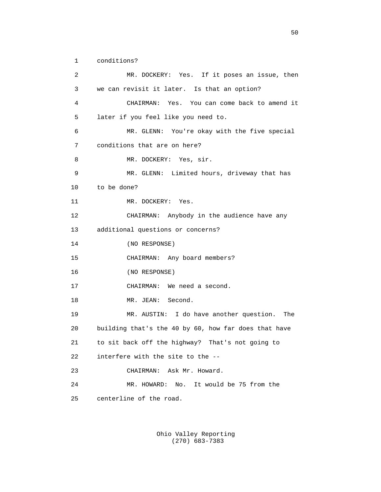1 conditions?

 2 MR. DOCKERY: Yes. If it poses an issue, then 3 we can revisit it later. Is that an option? 4 CHAIRMAN: Yes. You can come back to amend it 5 later if you feel like you need to. 6 MR. GLENN: You're okay with the five special 7 conditions that are on here? 8 MR. DOCKERY: Yes, sir. 9 MR. GLENN: Limited hours, driveway that has 10 to be done? 11 MR. DOCKERY: Yes. 12 CHAIRMAN: Anybody in the audience have any 13 additional questions or concerns? 14 (NO RESPONSE) 15 CHAIRMAN: Any board members? 16 (NO RESPONSE) 17 CHAIRMAN: We need a second. 18 MR. JEAN: Second. 19 MR. AUSTIN: I do have another question. The 20 building that's the 40 by 60, how far does that have 21 to sit back off the highway? That's not going to 22 interfere with the site to the -- 23 CHAIRMAN: Ask Mr. Howard. 24 MR. HOWARD: No. It would be 75 from the 25 centerline of the road.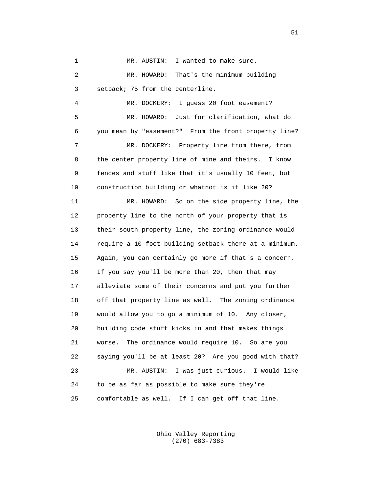1 MR. AUSTIN: I wanted to make sure. 2 MR. HOWARD: That's the minimum building 3 setback; 75 from the centerline. 4 MR. DOCKERY: I guess 20 foot easement? 5 MR. HOWARD: Just for clarification, what do 6 you mean by "easement?" From the front property line? 7 MR. DOCKERY: Property line from there, from 8 the center property line of mine and theirs. I know 9 fences and stuff like that it's usually 10 feet, but 10 construction building or whatnot is it like 20? 11 MR. HOWARD: So on the side property line, the 12 property line to the north of your property that is 13 their south property line, the zoning ordinance would 14 require a 10-foot building setback there at a minimum. 15 Again, you can certainly go more if that's a concern. 16 If you say you'll be more than 20, then that may 17 alleviate some of their concerns and put you further 18 off that property line as well. The zoning ordinance 19 would allow you to go a minimum of 10. Any closer, 20 building code stuff kicks in and that makes things 21 worse. The ordinance would require 10. So are you 22 saying you'll be at least 20? Are you good with that? 23 MR. AUSTIN: I was just curious. I would like 24 to be as far as possible to make sure they're 25 comfortable as well. If I can get off that line.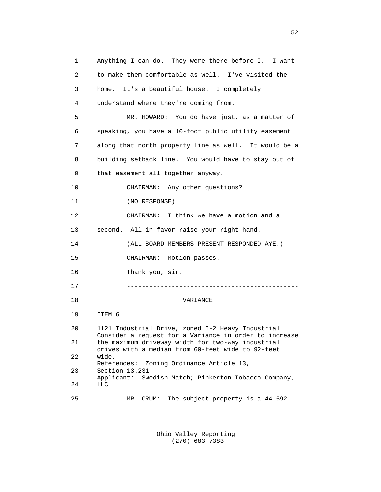1 Anything I can do. They were there before I. I want 2 to make them comfortable as well. I've visited the 3 home. It's a beautiful house. I completely 4 understand where they're coming from. 5 MR. HOWARD: You do have just, as a matter of 6 speaking, you have a 10-foot public utility easement 7 along that north property line as well. It would be a 8 building setback line. You would have to stay out of 9 that easement all together anyway. 10 CHAIRMAN: Any other questions? 11 (NO RESPONSE) 12 CHAIRMAN: I think we have a motion and a 13 second. All in favor raise your right hand. 14 (ALL BOARD MEMBERS PRESENT RESPONDED AYE.) 15 CHAIRMAN: Motion passes. 16 Thank you, sir. 17 ---------------------------------------------- 18 VARIANCE 19 ITEM 6 20 1121 Industrial Drive, zoned I-2 Heavy Industrial Consider a request for a Variance in order to increase<br>21 the maximum driveway width for two-way industrial the maximum driveway width for two-way industrial drives with a median from 60-feet wide to 92-feet<br>22 wide. wide. References: Zoning Ordinance Article 13, 23 Section 13.231 Applicant: Swedish Match; Pinkerton Tobacco Company,<br>24 LLC 24 LLC 25 MR. CRUM: The subject property is a 44.592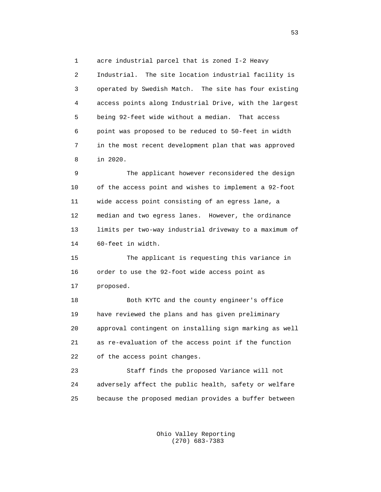1 acre industrial parcel that is zoned I-2 Heavy

 2 Industrial. The site location industrial facility is 3 operated by Swedish Match. The site has four existing 4 access points along Industrial Drive, with the largest 5 being 92-feet wide without a median. That access 6 point was proposed to be reduced to 50-feet in width 7 in the most recent development plan that was approved 8 in 2020.

 9 The applicant however reconsidered the design 10 of the access point and wishes to implement a 92-foot 11 wide access point consisting of an egress lane, a 12 median and two egress lanes. However, the ordinance 13 limits per two-way industrial driveway to a maximum of 14 60-feet in width.

 15 The applicant is requesting this variance in 16 order to use the 92-foot wide access point as 17 proposed.

 18 Both KYTC and the county engineer's office 19 have reviewed the plans and has given preliminary 20 approval contingent on installing sign marking as well 21 as re-evaluation of the access point if the function 22 of the access point changes.

 23 Staff finds the proposed Variance will not 24 adversely affect the public health, safety or welfare 25 because the proposed median provides a buffer between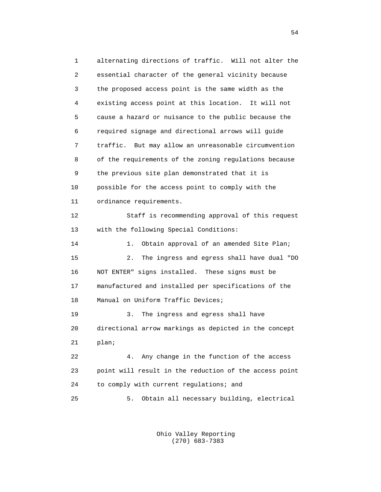1 alternating directions of traffic. Will not alter the 2 essential character of the general vicinity because 3 the proposed access point is the same width as the 4 existing access point at this location. It will not 5 cause a hazard or nuisance to the public because the 6 required signage and directional arrows will guide 7 traffic. But may allow an unreasonable circumvention 8 of the requirements of the zoning regulations because 9 the previous site plan demonstrated that it is 10 possible for the access point to comply with the 11 ordinance requirements. 12 Staff is recommending approval of this request 13 with the following Special Conditions: 14 1. Obtain approval of an amended Site Plan; 15 2. The ingress and egress shall have dual "DO 16 NOT ENTER" signs installed. These signs must be 17 manufactured and installed per specifications of the 18 Manual on Uniform Traffic Devices; 19 3. The ingress and egress shall have 20 directional arrow markings as depicted in the concept 21 plan; 22 4. Any change in the function of the access 23 point will result in the reduction of the access point 24 to comply with current regulations; and 25 5. Obtain all necessary building, electrical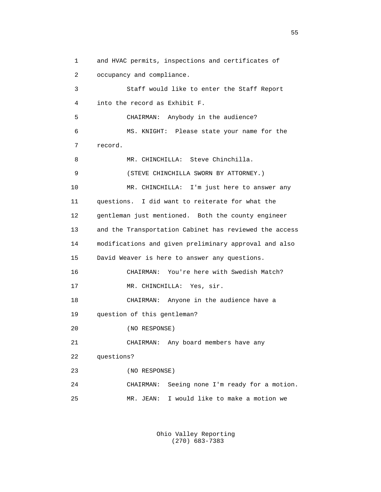1 and HVAC permits, inspections and certificates of 2 occupancy and compliance. 3 Staff would like to enter the Staff Report 4 into the record as Exhibit F. 5 CHAIRMAN: Anybody in the audience? 6 MS. KNIGHT: Please state your name for the 7 record. 8 MR. CHINCHILLA: Steve Chinchilla. 9 (STEVE CHINCHILLA SWORN BY ATTORNEY.) 10 MR. CHINCHILLA: I'm just here to answer any 11 questions. I did want to reiterate for what the 12 gentleman just mentioned. Both the county engineer 13 and the Transportation Cabinet has reviewed the access 14 modifications and given preliminary approval and also 15 David Weaver is here to answer any questions. 16 CHAIRMAN: You're here with Swedish Match? 17 MR. CHINCHILLA: Yes, sir. 18 CHAIRMAN: Anyone in the audience have a 19 question of this gentleman? 20 (NO RESPONSE) 21 CHAIRMAN: Any board members have any 22 questions? 23 (NO RESPONSE) 24 CHAIRMAN: Seeing none I'm ready for a motion. 25 MR. JEAN: I would like to make a motion we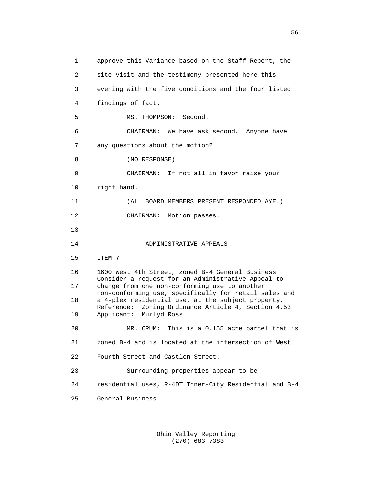1 approve this Variance based on the Staff Report, the 2 site visit and the testimony presented here this 3 evening with the five conditions and the four listed 4 findings of fact. 5 MS. THOMPSON: Second. 6 CHAIRMAN: We have ask second. Anyone have 7 any questions about the motion? 8 (NO RESPONSE) 9 CHAIRMAN: If not all in favor raise your 10 right hand. 11 (ALL BOARD MEMBERS PRESENT RESPONDED AYE.) 12 CHAIRMAN: Motion passes. 13 ---------------------------------------------- 14 ADMINISTRATIVE APPEALS 15 ITEM 7 16 1600 West 4th Street, zoned B-4 General Business Consider a request for an Administrative Appeal to<br>17 change from one non-conforming use to another change from one non-conforming use to another non-conforming use, specifically for retail sales and<br>18 a 4-plex residential use, at the subject property. a 4-plex residential use, at the subject property. Reference: Zoning Ordinance Article 4, Section 4.53<br>19 Applicant: Murlyd Ross 19 Applicant: Murlyd Ross 20 MR. CRUM: This is a 0.155 acre parcel that is 21 zoned B-4 and is located at the intersection of West 22 Fourth Street and Castlen Street. 23 Surrounding properties appear to be 24 residential uses, R-4DT Inner-City Residential and B-4 25 General Business.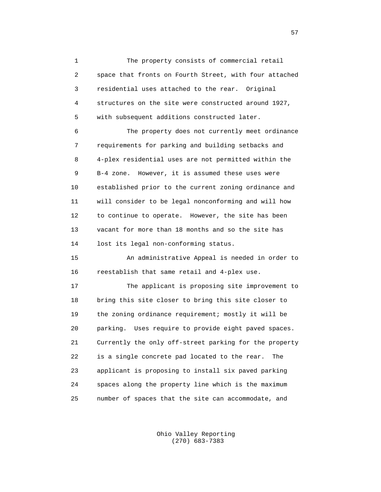1 The property consists of commercial retail 2 space that fronts on Fourth Street, with four attached 3 residential uses attached to the rear. Original 4 structures on the site were constructed around 1927, 5 with subsequent additions constructed later.

 6 The property does not currently meet ordinance 7 requirements for parking and building setbacks and 8 4-plex residential uses are not permitted within the 9 B-4 zone. However, it is assumed these uses were 10 established prior to the current zoning ordinance and 11 will consider to be legal nonconforming and will how 12 to continue to operate. However, the site has been 13 vacant for more than 18 months and so the site has 14 lost its legal non-conforming status.

 15 An administrative Appeal is needed in order to 16 reestablish that same retail and 4-plex use.

 17 The applicant is proposing site improvement to 18 bring this site closer to bring this site closer to 19 the zoning ordinance requirement; mostly it will be 20 parking. Uses require to provide eight paved spaces. 21 Currently the only off-street parking for the property 22 is a single concrete pad located to the rear. The 23 applicant is proposing to install six paved parking 24 spaces along the property line which is the maximum 25 number of spaces that the site can accommodate, and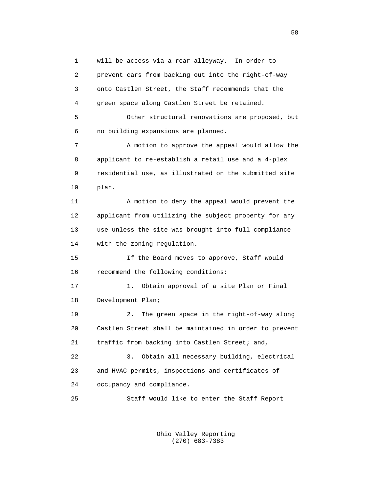1 will be access via a rear alleyway. In order to 2 prevent cars from backing out into the right-of-way 3 onto Castlen Street, the Staff recommends that the 4 green space along Castlen Street be retained. 5 Other structural renovations are proposed, but 6 no building expansions are planned. 7 A motion to approve the appeal would allow the 8 applicant to re-establish a retail use and a 4-plex 9 residential use, as illustrated on the submitted site 10 plan. 11 A motion to deny the appeal would prevent the 12 applicant from utilizing the subject property for any 13 use unless the site was brought into full compliance 14 with the zoning regulation. 15 If the Board moves to approve, Staff would 16 recommend the following conditions: 17 1. Obtain approval of a site Plan or Final 18 Development Plan; 19 2. The green space in the right-of-way along 20 Castlen Street shall be maintained in order to prevent 21 traffic from backing into Castlen Street; and, 22 3. Obtain all necessary building, electrical 23 and HVAC permits, inspections and certificates of 24 occupancy and compliance. 25 Staff would like to enter the Staff Report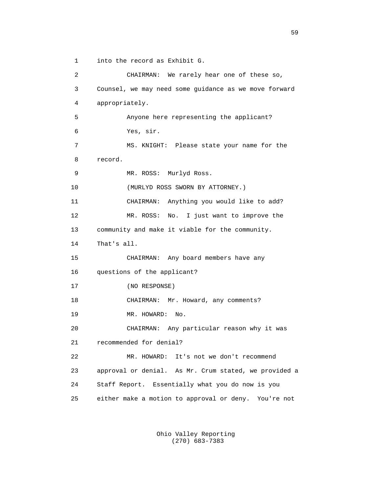1 into the record as Exhibit G.

 2 CHAIRMAN: We rarely hear one of these so, 3 Counsel, we may need some guidance as we move forward 4 appropriately. 5 Anyone here representing the applicant? 6 Yes, sir. 7 MS. KNIGHT: Please state your name for the 8 record. 9 MR. ROSS: Murlyd Ross. 10 (MURLYD ROSS SWORN BY ATTORNEY.) 11 CHAIRMAN: Anything you would like to add? 12 MR. ROSS: No. I just want to improve the 13 community and make it viable for the community. 14 That's all. 15 CHAIRMAN: Any board members have any 16 questions of the applicant? 17 (NO RESPONSE) 18 CHAIRMAN: Mr. Howard, any comments? 19 MR. HOWARD: No. 20 CHAIRMAN: Any particular reason why it was 21 recommended for denial? 22 MR. HOWARD: It's not we don't recommend 23 approval or denial. As Mr. Crum stated, we provided a 24 Staff Report. Essentially what you do now is you 25 either make a motion to approval or deny. You're not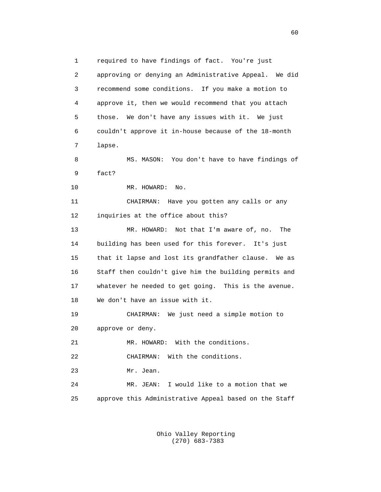1 required to have findings of fact. You're just 2 approving or denying an Administrative Appeal. We did 3 recommend some conditions. If you make a motion to 4 approve it, then we would recommend that you attach 5 those. We don't have any issues with it. We just 6 couldn't approve it in-house because of the 18-month 7 lapse. 8 MS. MASON: You don't have to have findings of 9 fact? 10 MR. HOWARD: No. 11 CHAIRMAN: Have you gotten any calls or any 12 inquiries at the office about this? 13 MR. HOWARD: Not that I'm aware of, no. The 14 building has been used for this forever. It's just 15 that it lapse and lost its grandfather clause. We as 16 Staff then couldn't give him the building permits and 17 whatever he needed to get going. This is the avenue. 18 We don't have an issue with it. 19 CHAIRMAN: We just need a simple motion to 20 approve or deny. 21 MR. HOWARD: With the conditions. 22 CHAIRMAN: With the conditions. 23 Mr. Jean. 24 MR. JEAN: I would like to a motion that we 25 approve this Administrative Appeal based on the Staff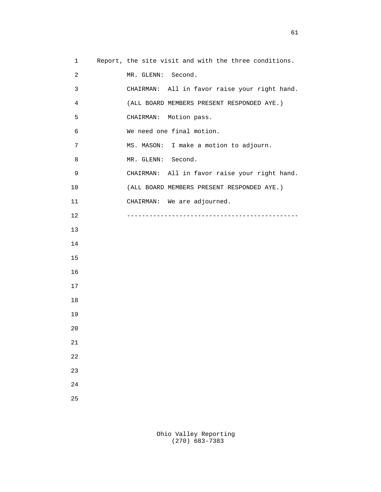1 Report, the site visit and with the three conditions. 2 MR. GLENN: Second. 3 CHAIRMAN: All in favor raise your right hand. 4 (ALL BOARD MEMBERS PRESENT RESPONDED AYE.) 5 CHAIRMAN: Motion pass. 6 We need one final motion. 7 MS. MASON: I make a motion to adjourn. 8 MR. GLENN: Second. 9 CHAIRMAN: All in favor raise your right hand. 10 (ALL BOARD MEMBERS PRESENT RESPONDED AYE.) 11 CHAIRMAN: We are adjourned. 12 ---------------------------------------------- 13 14 15 16 17 18 19 20 21 22 23 24 25